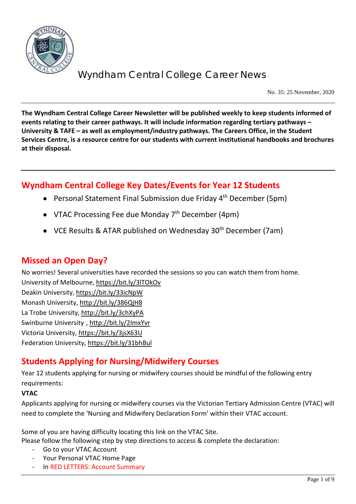

No. 35: 25 November, 2020

**The Wyndham Central College Career Newsletter will be published weekly to keep students informed of events relating to their career pathways. It will include information regarding tertiary pathways – University & TAFE – as well as employment/industry pathways. The Careers Office, in the Student Services Centre, is a resource centre for our students with current institutional handbooks and brochures at their disposal.**

## **Wyndham Central College Key Dates/Events for Year 12 Students**

- Personal Statement Final Submission due Friday 4<sup>th</sup> December (5pm)
- VTAC Processing Fee due Monday  $7<sup>th</sup>$  December (4pm)
- VCE Results & ATAR published on Wednesday 30<sup>th</sup> December (7am)

### **Missed an Open Day?**

No worries! Several universities have recorded the sessions so you can watch them from home.

University of Melbourne[, https://bit.ly/3lTOkOv](https://bit.ly/3lTOkOv) Deakin University,<https://bit.ly/33icNpW> Monash University,<http://bit.ly/386QjH8> La Trobe University,<http://bit.ly/3chXyPA> Swinburne University ,<http://bit.ly/2ImxYvr> Victoria University,<https://bit.ly/3jsX63U> Federation University[, https://bit.ly/31bhBul](https://bit.ly/31bhBul)

## **Students Applying for Nursing/Midwifery Courses**

Year 12 students applying for nursing or midwifery courses should be mindful of the following entry requirements:

#### **VTAC**

Applicants applying for nursing or midwifery courses via the Victorian Tertiary Admission Centre (VTAC) will need to complete the 'Nursing and Midwifery Declaration Form' within their VTAC account.

Some of you are having difficulty locating this link on the VTAC Site.

Please follow the following step by step directions to access & complete the declaration:

- Go to your VTAC Account
- Your Personal VTAC Home Page
- In RED LETTERS: Account Summary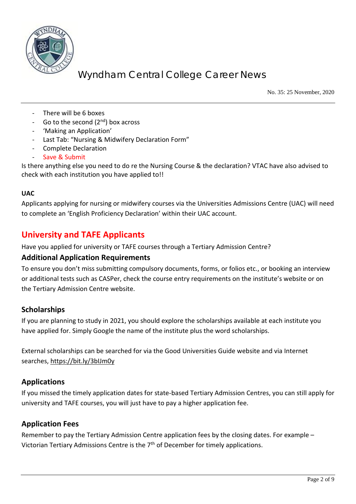

No. 35: 25 November, 2020

- There will be 6 boxes
- Go to the second  $(2^{nd})$  box across
- 'Making an Application'
- Last Tab: "Nursing & Midwifery Declaration Form"
- Complete Declaration
- Save & Submit

Is there anything else you need to do re the Nursing Course & the declaration? VTAC have also advised to check with each institution you have applied to!!

#### **UAC**

Applicants applying for nursing or midwifery courses via the Universities Admissions Centre (UAC) will need to complete an 'English Proficiency Declaration' within their UAC account.

### **University and TAFE Applicants**

Have you applied for university or TAFE courses through a Tertiary Admission Centre?

#### **Additional Application Requirements**

To ensure you don't miss submitting compulsory documents, forms, or folios etc., or booking an interview or additional tests such as CASPer, check the course entry requirements on the institute's website or on the Tertiary Admission Centre website.

#### **Scholarships**

If you are planning to study in 2021, you should explore the scholarships available at each institute you have applied for. Simply Google the name of the institute plus the word scholarships.

External scholarships can be searched for via the Good Universities Guide website and via Internet searches,<https://bit.ly/3bIJm0y>

#### **Applications**

If you missed the timely application dates for state-based Tertiary Admission Centres, you can still apply for university and TAFE courses, you will just have to pay a higher application fee.

#### **Application Fees**

Remember to pay the Tertiary Admission Centre application fees by the closing dates. For example – Victorian Tertiary Admissions Centre is the 7<sup>th</sup> of December for timely applications.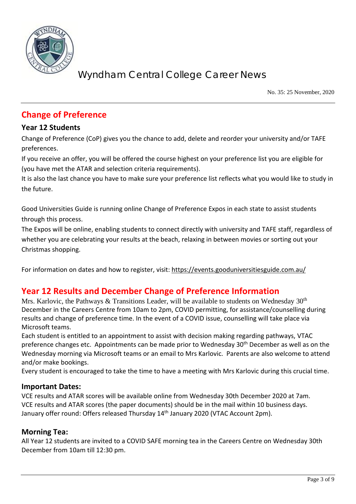

No. 35: 25 November, 2020

## **Change of Preference**

#### **Year 12 Students**

Change of Preference (CoP) gives you the chance to add, delete and reorder your university and/or TAFE preferences.

If you receive an offer, you will be offered the course highest on your preference list you are eligible for (you have met the ATAR and selection criteria requirements).

It is also the last chance you have to make sure your preference list reflects what you would like to study in the future.

Good Universities Guide is running online Change of Preference Expos in each state to assist students through this process.

The Expos will be online, enabling students to connect directly with university and TAFE staff, regardless of whether you are celebrating your results at the beach, relaxing in between movies or sorting out your Christmas shopping.

For information on dates and how to register, visit: <https://events.gooduniversitiesguide.com.au/>

## **Year 12 Results and December Change of Preference Information**

Mrs. Karlovic, the Pathways & Transitions Leader, will be available to students on Wednesday  $30<sup>th</sup>$ December in the Careers Centre from 10am to 2pm, COVID permitting, for assistance/counselling during results and change of preference time. In the event of a COVID issue, counselling will take place via Microsoft teams.

Each student is entitled to an appointment to assist with decision making regarding pathways, VTAC preference changes etc. Appointments can be made prior to Wednesday 30<sup>th</sup> December as well as on the Wednesday morning via Microsoft teams or an email to Mrs Karlovic. Parents are also welcome to attend and/or make bookings.

Every student is encouraged to take the time to have a meeting with Mrs Karlovic during this crucial time.

#### **Important Dates:**

VCE results and ATAR scores will be available online from Wednesday 30th December 2020 at 7am. VCE results and ATAR scores (the paper documents) should be in the mail within 10 business days. January offer round: Offers released Thursday 14<sup>th</sup> January 2020 (VTAC Account 2pm).

#### **Morning Tea:**

All Year 12 students are invited to a COVID SAFE morning tea in the Careers Centre on Wednesday 30th December from 10am till 12:30 pm.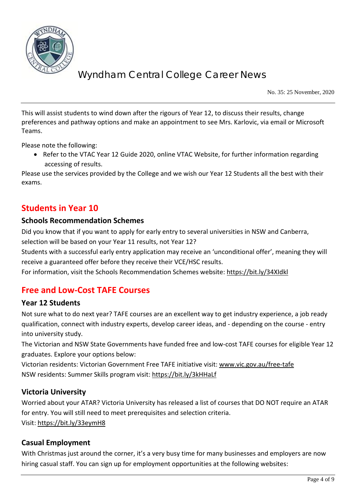

No. 35: 25 November, 2020

This will assist students to wind down after the rigours of Year 12, to discuss their results, change preferences and pathway options and make an appointment to see Mrs. Karlovic, via email or Microsoft Teams.

Please note the following:

• Refer to the VTAC Year 12 Guide 2020, online VTAC Website, for further information regarding accessing of results.

Please use the services provided by the College and we wish our Year 12 Students all the best with their exams.

### **Students in Year 10**

#### **Schools Recommendation Schemes**

Did you know that if you want to apply for early entry to several universities in NSW and Canberra,

selection will be based on your Year 11 results, not Year 12?

Students with a successful early entry application may receive an 'unconditional offer', meaning they will receive a guaranteed offer before they receive their VCE/HSC results.

For information, visit the Schools Recommendation Schemes website:<https://bit.ly/34XIdkl>

## **Free and Low-Cost TAFE Courses**

#### **Year 12 Students**

Not sure what to do next year? TAFE courses are an excellent way to get industry experience, a job ready qualification, connect with industry experts, develop career ideas, and - depending on the course - entry into university study.

The Victorian and NSW State Governments have funded free and low-cost TAFE courses for eligible Year 12 graduates. Explore your options below:

Victorian residents: Victorian Government Free TAFE initiative visit: [www.vic.gov.au/free-tafe](http://www.vic.gov.au/free-tafe) NSW residents: Summer Skills program visit:<https://bit.ly/3kHHaLf>

#### **Victoria University**

Worried about your ATAR? Victoria University has released a list of courses that DO NOT require an ATAR for entry. You will still need to meet prerequisites and selection criteria. Visit:<https://bit.ly/33eymH8>

#### **Casual Employment**

With Christmas just around the corner, it's a very busy time for many businesses and employers are now hiring casual staff. You can sign up for employment opportunities at the following websites: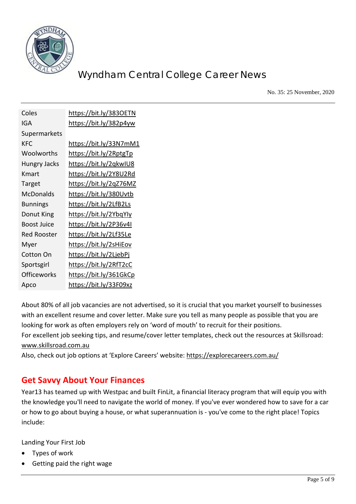

No. 35: 25 November, 2020

| Coles               | https://bit.ly/3830ETN         |
|---------------------|--------------------------------|
| IGA                 | https://bit.ly/382p4yw         |
| Supermarkets        |                                |
| <b>KFC</b>          | https://bit.ly/33N7mM1         |
| Woolworths          | https://bit.ly/2RptgTp         |
| <b>Hungry Jacks</b> | <u> https://bit.ly/2qkwIU8</u> |
| Kmart               | <u> https://bit.ly/2Y8U2Rd</u> |
| Target              | https://bit.ly/2qZ76MZ         |
| <b>McDonalds</b>    | https://bit.ly/380Uvtb         |
| <b>Bunnings</b>     | https://bit.ly/2LfB2Ls         |
| Donut King          | <u> https://bit.ly/2YbqYly</u> |
| <b>Boost Juice</b>  | https://bit.ly/2P36v4I         |
| <b>Red Rooster</b>  | <u> https://bit.ly/2Lf35Le</u> |
| Myer                | <u> https://bit.ly/2sHiEov</u> |
| <b>Cotton On</b>    | <u> https://bit.ly/2LjebPj</u> |
| Sportsgirl          | https://bit.ly/2RfT2cC         |
| Officeworks         | <u> https://bit.ly/361GkCp</u> |
| Apco                | <u> https://bit.ly/33F09xz</u> |

About 80% of all job vacancies are not advertised, so it is crucial that you market yourself to businesses with an excellent resume and cover letter. Make sure you tell as many people as possible that you are looking for work as often employers rely on 'word of mouth' to recruit for their positions. For excellent job seeking tips, and resume/cover letter templates, check out the resources at Skillsroad: [www.skillsroad.com.au](http://www.skillsroad.com.au/) 

Also, check out job options at 'Explore Careers' website:<https://explorecareers.com.au/>

## **Get Savvy About Your Finances**

Year13 has teamed up with Westpac and built FinLit, a financial literacy program that will equip you with the knowledge you'll need to navigate the world of money. If you've ever wondered how to save for a car or how to go about buying a house, or what superannuation is - you've come to the right place! Topics include:

Landing Your First Job

- Types of work
- Getting paid the right wage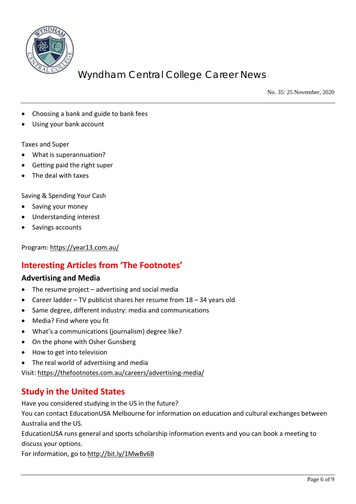

No. 35: 25 November, 2020

- Choosing a bank and guide to bank fees
- Using your bank account

#### Taxes and Super

- What is superannuation?
- Getting paid the right super
- The deal with taxes

Saving & Spending Your Cash

- Saving your money
- Understanding interest
- Savings accounts

Program:<https://year13.com.au/>

## **Interesting Articles from 'The Footnotes'**

#### **Advertising and Media**

- The resume project  $-$  advertising and social media
- Career ladder TV publicist shares her resume from 18 34 years old
- Same degree, different industry: media and communications
- Media? Find where you fit
- What's a communications (journalism) degree like?
- On the phone with Osher Gunsberg
- How to get into television
- The real world of advertising and media

Visit:<https://thefootnotes.com.au/careers/advertising-media/>

### **Study in the United States**

Have you considered studying in the US in the future?

You can contact EducationUSA Melbourne for information on education and cultural exchanges between Australia and the US.

EducationUSA runs general and sports scholarship information events and you can book a meeting to discuss your options.

For information, go to<http://bit.ly/1MwBv6B>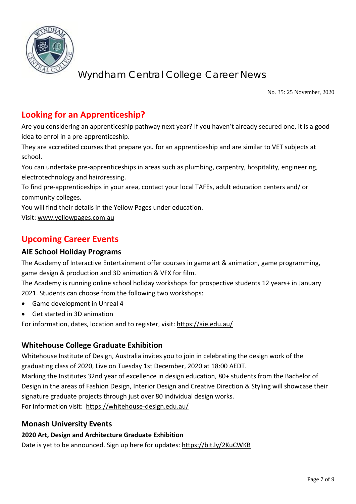

No. 35: 25 November, 2020

## **Looking for an Apprenticeship?**

Are you considering an apprenticeship pathway next year? If you haven't already secured one, it is a good idea to enrol in a pre-apprenticeship.

They are accredited courses that prepare you for an apprenticeship and are similar to VET subjects at school.

You can undertake pre-apprenticeships in areas such as plumbing, carpentry, hospitality, engineering, electrotechnology and hairdressing.

To find pre-apprenticeships in your area, contact your local TAFEs, adult education centers and/ or community colleges.

You will find their details in the Yellow Pages under education.

Visit: [www.yellowpages.com.au](http://www.yellowpages.com.au/)

## **Upcoming Career Events**

#### **AIE School Holiday Programs**

The Academy of Interactive Entertainment offer courses in game art & animation, game programming, game design & production and 3D animation & VFX for film.

The Academy is running online school holiday workshops for prospective students 12 years+ in January 2021. Students can choose from the following two workshops:

- Game development in Unreal 4
- Get started in 3D animation

For information, dates, location and to register, visit[: https://aie.edu.au/](https://aie.edu.au/)

#### **Whitehouse College Graduate Exhibition**

Whitehouse Institute of Design, Australia invites you to join in celebrating the design work of the graduating class of 2020, Live on Tuesday 1st December, 2020 at 18:00 AEDT.

Marking the Institutes 32nd year of excellence in design education, 80+ students from the Bachelor of Design in the areas of Fashion Design, Interior Design and Creative Direction & Styling will showcase their signature graduate projects through just over 80 individual design works.

For information visit:<https://whitehouse-design.edu.au/>

#### **Monash University Events**

#### **2020 Art, Design and Architecture Graduate Exhibition**

Date is yet to be announced. Sign up here for updates:<https://bit.ly/2KuCWKB>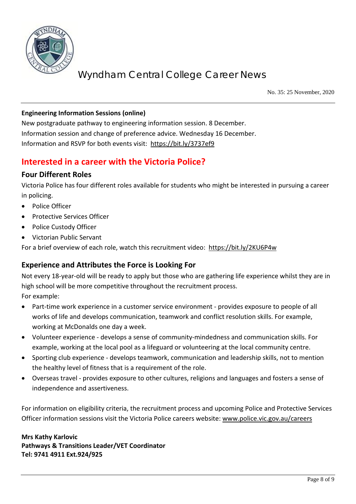

No. 35: 25 November, 2020

#### **Engineering Information Sessions (online)**

New postgraduate pathway to engineering information session. 8 December. Information session and change of preference advice. Wednesday 16 December. Information and RSVP for both events visit:<https://bit.ly/3737ef9>

### **Interested in a career with the Victoria Police?**

#### **Four Different Roles**

Victoria Police has four different roles available for students who might be interested in pursuing a career in policing.

- Police Officer
- Protective Services Officer
- Police Custody Officer
- Victorian Public Servant

For a brief overview of each role, watch this recruitment video: <https://bit.ly/2KU6P4w>

#### **Experience and Attributes the Force is Looking For**

Not every 18-year-old will be ready to apply but those who are gathering life experience whilst they are in high school will be more competitive throughout the recruitment process.

For example:

- Part-time work experience in a customer service environment provides exposure to people of all works of life and develops communication, teamwork and conflict resolution skills. For example, working at McDonalds one day a week.
- Volunteer experience develops a sense of community-mindedness and communication skills. For example, working at the local pool as a lifeguard or volunteering at the local community centre.
- Sporting club experience develops teamwork, communication and leadership skills, not to mention the healthy level of fitness that is a requirement of the role.
- Overseas travel provides exposure to other cultures, religions and languages and fosters a sense of independence and assertiveness.

For information on eligibility criteria, the recruitment process and upcoming Police and Protective Services Officer information sessions visit the Victoria Police careers website: [www.police.vic.gov.au/careers](http://www.police.vic.gov.au/careers)

**Mrs Kathy Karlovic Pathways & Transitions Leader/VET Coordinator Tel: 9741 4911 Ext.924/925**